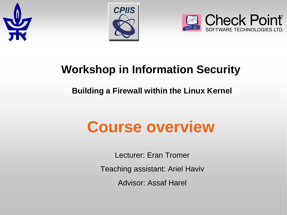





#### **Workshop in Information Security**

#### **Building a Firewall within the Linux Kernel**

# **Course overview**

Lecturer: Eran Tromer

Teaching assistant: Ariel Haviv

Advisor: Assaf Harel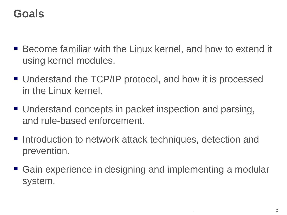#### **Goals**

- Become familiar with the Linux kernel, and how to extend it using kernel modules.
- Understand the TCP/IP protocol, and how it is processed in the Linux kernel.
- Understand concepts in packet inspection and parsing, and rule-based enforcement.
- Introduction to network attack techniques, detection and prevention.
- Gain experience in designing and implementing a modular system.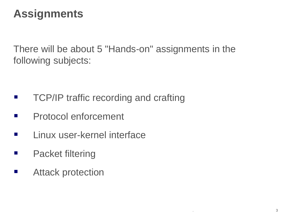#### **Assignments**

There will be about 5 "Hands-on" assignments in the following subjects:

- **TCP/IP traffic recording and crafting**
- **Protocol enforcement**
- **Linux user-kernel interface**
- **Packet filtering**
- **E** Attack protection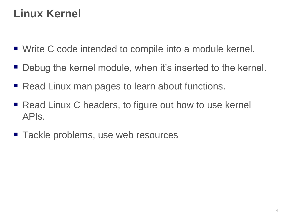# **Linux Kernel**

- Write C code intended to compile into a module kernel.
- Debug the kernel module, when it's inserted to the kernel.
- Read Linux man pages to learn about functions.
- Read Linux C headers, to figure out how to use kernel APIs.
- Tackle problems, use web resources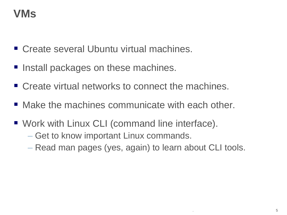# **VMs**

- Create several Ubuntu virtual machines.
- Install packages on these machines.
- Create virtual networks to connect the machines.
- Make the machines communicate with each other.
- Work with Linux CLI (command line interface).
	- Get to know important Linux commands.
	- Read man pages (yes, again) to learn about CLI tools.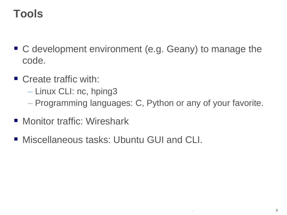# **Tools**

- C development environment (e.g. Geany) to manage the code.
- Create traffic with:
	- Linux CLI: nc, hping3
	- Programming languages: C, Python or any of your favorite.
- **Monitor traffic: Wireshark**
- Miscellaneous tasks: Ubuntu GUI and CLI.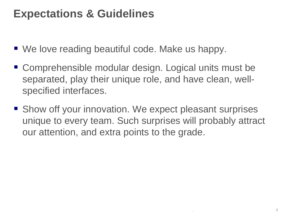#### **Expectations & Guidelines**

- We love reading beautiful code. Make us happy.
- Comprehensible modular design. Logical units must be separated, play their unique role, and have clean, wellspecified interfaces.
- Show off your innovation. We expect pleasant surprises unique to every team. Such surprises will probably attract our attention, and extra points to the grade.